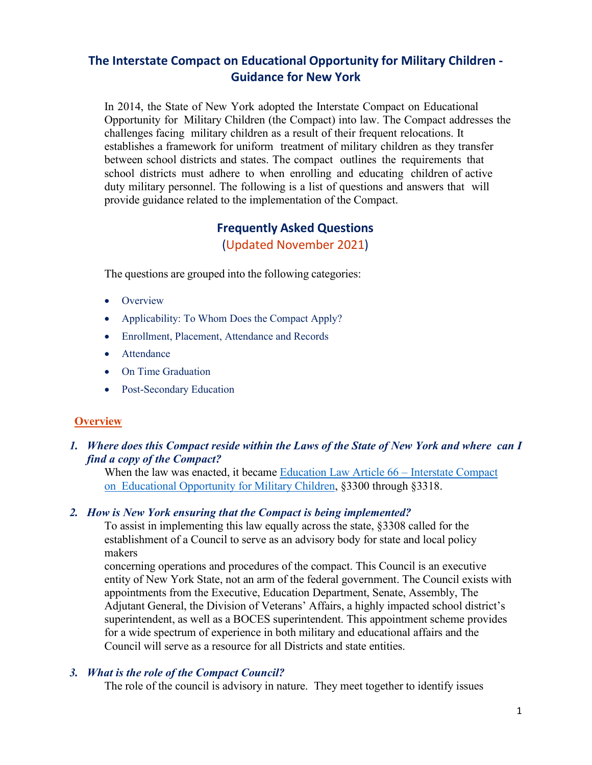# **The Interstate Compact on Educational Opportunity for Military Children - Guidance for New York**

In 2014, the State of New York adopted the Interstate Compact on Educational Opportunity for Military Children (the Compact) into law. The Compact addresses the challenges facing military children as a result of their frequent relocations. It establishes a framework for uniform treatment of military children as they transfer between school districts and states. The compact outlines the requirements that school districts must adhere to when enrolling and educating children of active duty military personnel. The following is a list of questions and answers that will provide guidance related to the implementation of the Compact.

# **Frequently Asked Questions**

(Updated November 2021)

The questions are grouped into the following categories:

- [Overview](#page-0-0)
- [Applicability: To Whom Does the Compact Apply?](#page-1-0)
- [Enrollment, Placement, Attendance and Records](#page-2-0)
- [Attendance](#page-5-0)
- [On Time Graduation](#page-5-1)
- [Post-Secondary Education](#page-8-0)

### <span id="page-0-0"></span>**Overview**

*1. Where does this Compact reside within the Laws of the State of New York and where can I find a copy of the Compact?*

When the law was enacted, it became Education Law [Article 66 – Interstate](https://www.nysenate.gov/legislation/laws/EDN/A66) Compact [on Educational Opportunity](https://www.nysenate.gov/legislation/laws/EDN/A66) for Military Children, §3300 through §3318.

### *2. How is New York ensuring that the Compact is being implemented?*

To assist in implementing this law equally across the state, §3308 called for the establishment of a Council to serve as an advisory body for state and local policy makers

concerning operations and procedures of the compact. This Council is an executive entity of New York State, not an arm of the federal government. The Council exists with appointments from the Executive, Education Department, Senate, Assembly, The Adjutant General, the Division of Veterans' Affairs, a highly impacted school district's superintendent, as well as a BOCES superintendent. This appointment scheme provides for a wide spectrum of experience in both military and educational affairs and the Council will serve as a resource for all Districts and state entities.

#### *3. What is the role of the Compact Council?*

The role of the council is advisory in nature. They meet together to identify issues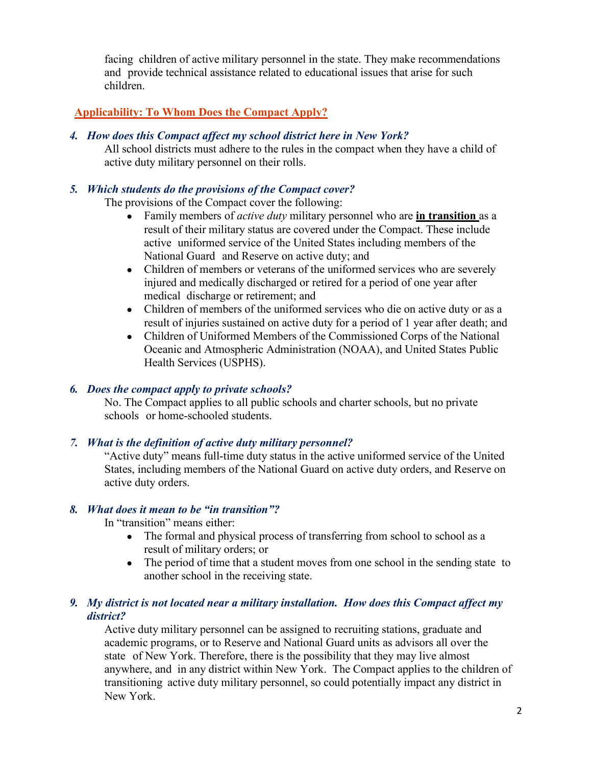facing children of active military personnel in the state. They make recommendations and provide technical assistance related to educational issues that arise for such children.

## <span id="page-1-0"></span>**Applicability: To Whom Does the Compact Apply?**

*4. How does this Compact affect my school district here in New York?*

All school districts must adhere to the rules in the compact when they have a child of active duty military personnel on their rolls.

## *5. Which students do the provisions of the Compact cover?*

The provisions of the Compact cover the following:

- Family members of *active duty* military personnel who are **in transition** as a result of their military status are covered under the Compact. These include active uniformed service of the United States including members of the National Guard and Reserve on active duty; and
- Children of members or veterans of the uniformed services who are severely injured and medically discharged or retired for a period of one year after medical discharge or retirement; and
- Children of members of the uniformed services who die on active duty or as a result of injuries sustained on active duty for a period of 1 year after death; and
- Children of Uniformed Members of the Commissioned Corps of the National Oceanic and Atmospheric Administration (NOAA), and United States Public Health Services (USPHS).

## *6. Does the compact apply to private schools?*

No. The Compact applies to all public schools and charter schools, but no private schools or home-schooled students.

## *7. What is the definition of active duty military personnel?*

"Active duty" means full-time duty status in the active uniformed service of the United States, including members of the National Guard on active duty orders, and Reserve on active duty orders.

### *8. What does it mean to be "in transition"?*

In "transition" means either:

- The formal and physical process of transferring from school to school as a result of military orders; or
- The period of time that a student moves from one school in the sending state to another school in the receiving state.

### *9. My district is not located near a military installation. How does this Compact affect my district?*

Active duty military personnel can be assigned to recruiting stations, graduate and academic programs, or to Reserve and National Guard units as advisors all over the state of New York. Therefore, there is the possibility that they may live almost anywhere, and in any district within New York. The Compact applies to the children of transitioning active duty military personnel, so could potentially impact any district in New York.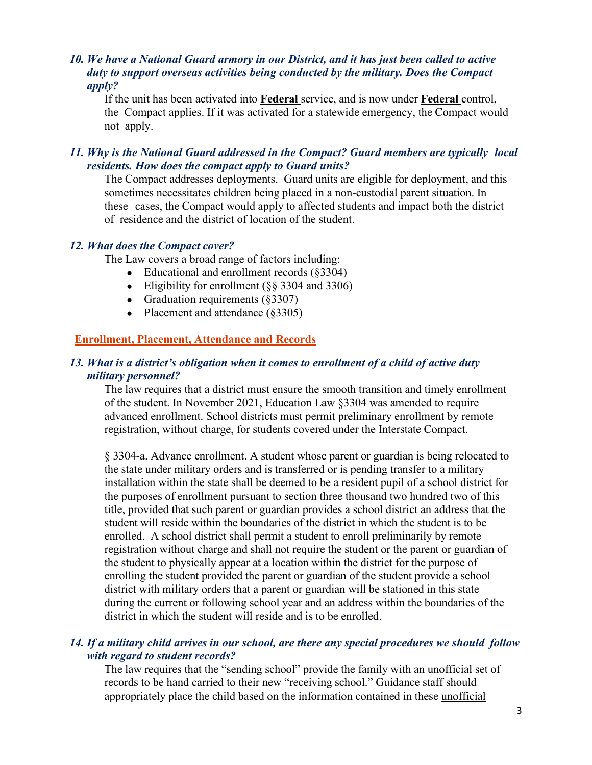#### *10. We have a National Guard armory in our District, and it has just been called to active duty to support overseas activities being conducted by the military. Does the Compact apply?*

If the unit has been activated into **Federal** service, and is now under **Federal** control, the Compact applies. If it was activated for a statewide emergency, the Compact would not apply.

### *11. Why is the National Guard addressed in the Compact? Guard members are typically local residents. How does the compact apply to Guard units?*

The Compact addresses deployments. Guard units are eligible for deployment, and this sometimes necessitates children being placed in a non-custodial parent situation. In these cases, the Compact would apply to affected students and impact both the district of residence and the district of location of the student.

### *12. What does the Compact cover?*

The Law covers a broad range of factors including:

- Educational and enrollment records  $(\text{\$3304})$
- Eligibility for enrollment  $(\S$ § 3304 and 3306)
- Graduation requirements  $(\text{\$3307})$
- Placement and attendance (§3305)

### <span id="page-2-0"></span>**Enrollment, Placement, Attendance and Records**

#### *13. What is a district's obligation when it comes to enrollment of a child of active duty military personnel?*

The law requires that a district must ensure the smooth transition and timely enrollment of the student. In November 2021, Education Law §3304 was amended to require advanced enrollment. School districts must permit preliminary enrollment by remote registration, without charge, for students covered under the Interstate Compact.

§ 3304-a. Advance enrollment. A student whose parent or guardian is being relocated to the state under military orders and is transferred or is pending transfer to a military installation within the state shall be deemed to be a resident pupil of a school district for the purposes of enrollment pursuant to section three thousand two hundred two of this title, provided that such parent or guardian provides a school district an address that the student will reside within the boundaries of the district in which the student is to be enrolled. A school district shall permit a student to enroll preliminarily by remote registration without charge and shall not require the student or the parent or guardian of the student to physically appear at a location within the district for the purpose of enrolling the student provided the parent or guardian of the student provide a school district with military orders that a parent or guardian will be stationed in this state during the current or following school year and an address within the boundaries of the district in which the student will reside and is to be enrolled.

### *14. If a military child arrives in our school, are there any special procedures we should follow with regard to student records?*

The law requires that the "sending school" provide the family with an unofficial set of records to be hand carried to their new "receiving school." Guidance staff should appropriately place the child based on the information contained in these unofficial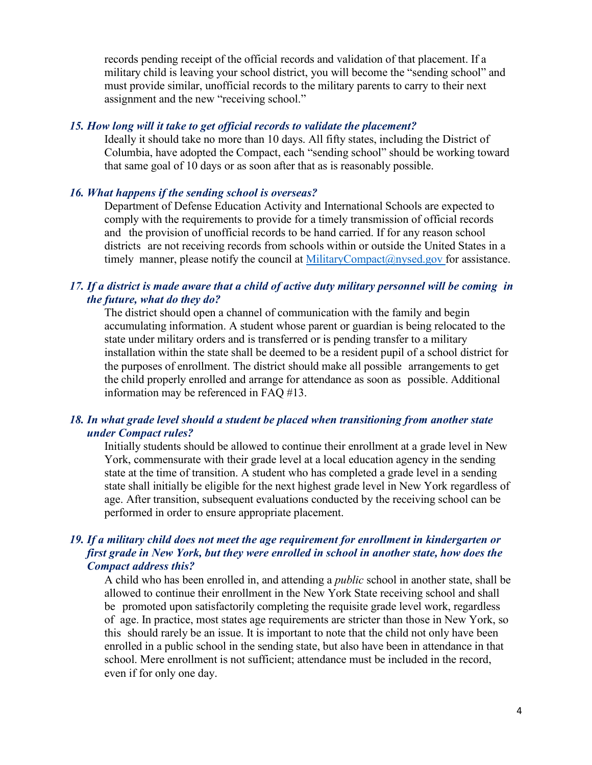records pending receipt of the official records and validation of that placement. If a military child is leaving your school district, you will become the "sending school" and must provide similar, unofficial records to the military parents to carry to their next assignment and the new "receiving school."

#### *15. How long will it take to get official records to validate the placement?*

Ideally it should take no more than 10 days. All fifty states, including the District of Columbia, have adopted the Compact, each "sending school" should be working toward that same goal of 10 days or as soon after that as is reasonably possible.

#### *16. What happens if the sending school is overseas?*

Department of Defense Education Activity and International Schools are expected to comply with the requirements to provide for a timely transmission of official records and the provision of unofficial records to be hand carried. If for any reason school districts are not receiving records from schools within or outside the United States in a timely manner, please notify the council at [MilitaryCompact@nysed.gov f](mailto:MilitaryCompact@nysed.gov)or assistance.

### *17. If a district is made aware that a child of active duty military personnel will be coming in the future, what do they do?*

The district should open a channel of communication with the family and begin accumulating information. A student whose parent or guardian is being relocated to the state under military orders and is transferred or is pending transfer to a military installation within the state shall be deemed to be a resident pupil of a school district for the purposes of enrollment. The district should make all possible arrangements to get the child properly enrolled and arrange for attendance as soon as possible. Additional information may be referenced in FAQ #13.

#### *18. In what grade level should a student be placed when transitioning from another state under Compact rules?*

Initially students should be allowed to continue their enrollment at a grade level in New York, commensurate with their grade level at a local education agency in the sending state at the time of transition. A student who has completed a grade level in a sending state shall initially be eligible for the next highest grade level in New York regardless of age. After transition, subsequent evaluations conducted by the receiving school can be performed in order to ensure appropriate placement.

### *19. If a military child does not meet the age requirement for enrollment in kindergarten or first grade in New York, but they were enrolled in school in another state, how does the Compact address this?*

A child who has been enrolled in, and attending a *public* school in another state, shall be allowed to continue their enrollment in the New York State receiving school and shall be promoted upon satisfactorily completing the requisite grade level work, regardless of age. In practice, most states age requirements are stricter than those in New York, so this should rarely be an issue. It is important to note that the child not only have been enrolled in a public school in the sending state, but also have been in attendance in that school. Mere enrollment is not sufficient; attendance must be included in the record, even if for only one day.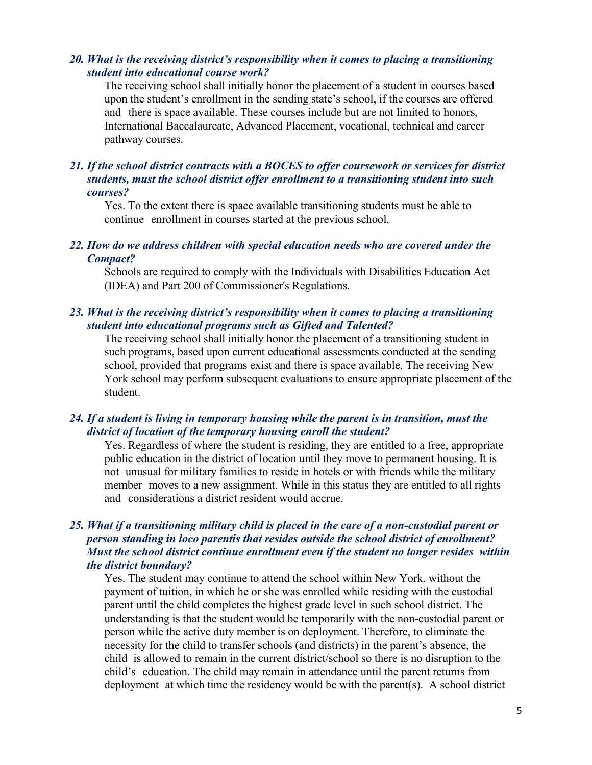#### *20. What is the receiving district's responsibility when it comes to placing a transitioning student into educational course work?*

The receiving school shall initially honor the placement of a student in courses based upon the student's enrollment in the sending state's school, if the courses are offered and there is space available. These courses include but are not limited to honors, International Baccalaureate, Advanced Placement, vocational, technical and career pathway courses.

#### *21. If the school district contracts with a BOCES to offer coursework or services for district students, must the school district offer enrollment to a transitioning student into such courses?*

Yes. To the extent there is space available transitioning students must be able to continue enrollment in courses started at the previous school.

#### *22. How do we address children with special education needs who are covered under the Compact?*

Schools are required to comply with the Individuals with Disabilities Education Act (IDEA) and Part 200 of Commissioner's Regulations.

### *23. What is the receiving district's responsibility when it comes to placing a transitioning student into educational programs such as Gifted and Talented?*

The receiving school shall initially honor the placement of a transitioning student in such programs, based upon current educational assessments conducted at the sending school, provided that programs exist and there is space available. The receiving New York school may perform subsequent evaluations to ensure appropriate placement of the student.

#### *24. If a student is living in temporary housing while the parent is in transition, must the district of location of the temporary housing enroll the student?*

Yes. Regardless of where the student is residing, they are entitled to a free, appropriate public education in the district of location until they move to permanent housing. It is not unusual for military families to reside in hotels or with friends while the military member moves to a new assignment. While in this status they are entitled to all rights and considerations a district resident would accrue.

### *25. What if a transitioning military child is placed in the care of a non-custodial parent or person standing in loco parentis that resides outside the school district of enrollment? Must the school district continue enrollment even if the student no longer resides within the district boundary?*

Yes. The student may continue to attend the school within New York, without the payment of tuition, in which he or she was enrolled while residing with the custodial parent until the child completes the highest grade level in such school district. The understanding is that the student would be temporarily with the non-custodial parent or person while the active duty member is on deployment. Therefore, to eliminate the necessity for the child to transfer schools (and districts) in the parent's absence, the child is allowed to remain in the current district/school so there is no disruption to the child's education. The child may remain in attendance until the parent returns from deployment at which time the residency would be with the parent(s). A school district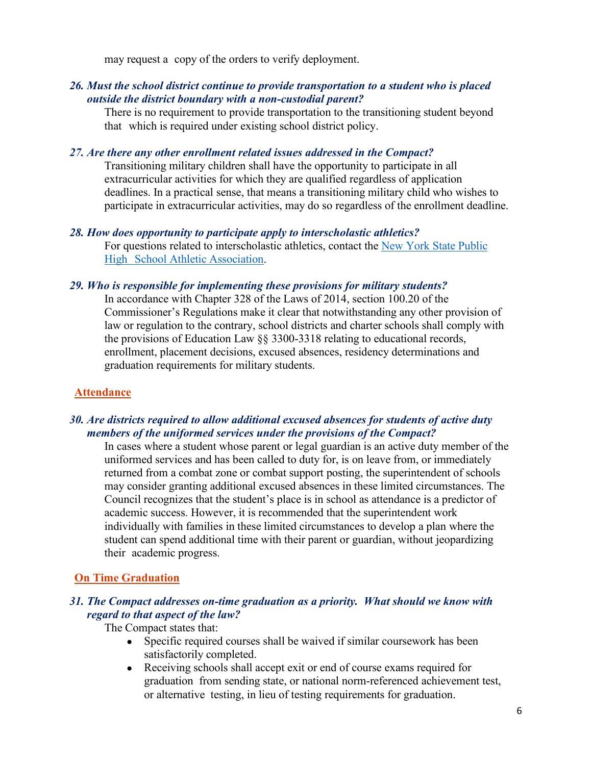may request a copy of the orders to verify deployment.

### *26. Must the school district continue to provide transportation to a student who is placed outside the district boundary with a non-custodial parent?*

There is no requirement to provide transportation to the transitioning student beyond that which is required under existing school district policy.

### *27. Are there any other enrollment related issues addressed in the Compact?*

Transitioning military children shall have the opportunity to participate in all extracurricular activities for which they are qualified regardless of application deadlines. In a practical sense, that means a transitioning military child who wishes to participate in extracurricular activities, may do so regardless of the enrollment deadline.

## *28. How does opportunity to participate apply to interscholastic athletics?*

For questions related to interscholastic athletics, contact the New [York State Public](http://www.nysphsaa.org/)  High [School Athletic Association.](http://www.nysphsaa.org/)

### *29. Who is responsible for implementing these provisions for military students?*

In accordance with Chapter 328 of the Laws of 2014, section 100.20 of the Commissioner's Regulations make it clear that notwithstanding any other provision of law or regulation to the contrary, school districts and charter schools shall comply with the provisions of Education Law §§ 3300-3318 relating to educational records, enrollment, placement decisions, excused absences, residency determinations and graduation requirements for military students.

## <span id="page-5-0"></span>**Attendance**

### *30. Are districts required to allow additional excused absences for students of active duty members of the uniformed services under the provisions of the Compact?*

In cases where a student whose parent or legal guardian is an active duty member of the uniformed services and has been called to duty for, is on leave from, or immediately returned from a combat zone or combat support posting, the superintendent of schools may consider granting additional excused absences in these limited circumstances. The Council recognizes that the student's place is in school as attendance is a predictor of academic success. However, it is recommended that the superintendent work individually with families in these limited circumstances to develop a plan where the student can spend additional time with their parent or guardian, without jeopardizing their academic progress.

## <span id="page-5-1"></span>**On Time Graduation**

### *31. The Compact addresses on-time graduation as a priority. What should we know with regard to that aspect of the law?*

The Compact states that:

- Specific required courses shall be waived if similar coursework has been satisfactorily completed.
- Receiving schools shall accept exit or end of course exams required for graduation from sending state, or national norm-referenced achievement test, or alternative testing, in lieu of testing requirements for graduation.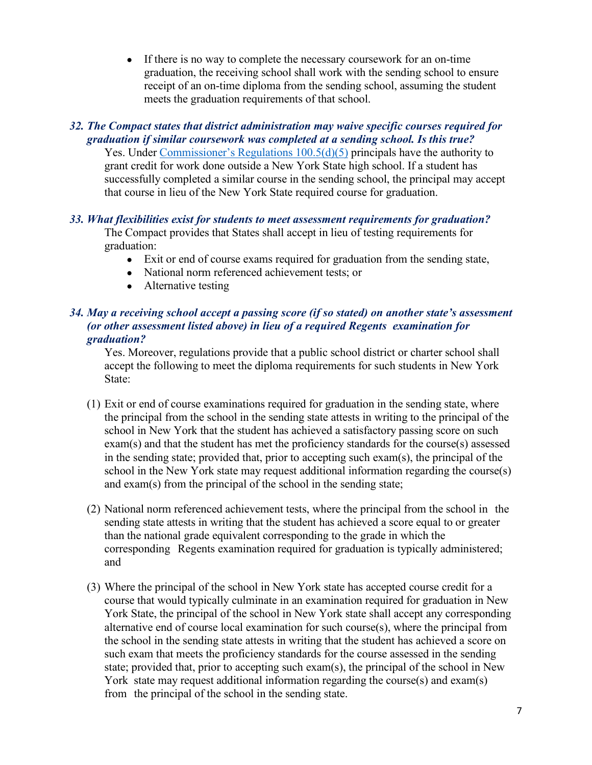• If there is no way to complete the necessary coursework for an on-time graduation, the receiving school shall work with the sending school to ensure receipt of an on-time diploma from the sending school, assuming the student meets the graduation requirements of that school.

## *32. The Compact states that district administration may waive specific courses required for graduation if similar coursework was completed at a sending school. Is this true?*

Yes. Under [Commissioner's Regulations 100.5\(d\)\(5\)](https://govt.westlaw.com/nycrr/Document/I3652b718c22211ddb29d8bee567fca9f?viewType=FullText&originationContext=documenttoc&transitionType=CategoryPageItem&contextData=(sc.Default)) principals have the authority to grant credit for work done outside a New York State high school. If a student has successfully completed a similar course in the sending school, the principal may accept that course in lieu of the New York State required course for graduation.

## *33. What flexibilities exist for students to meet assessment requirements for graduation?*

The Compact provides that States shall accept in lieu of testing requirements for graduation:

- Exit or end of course exams required for graduation from the sending state,
- National norm referenced achievement tests; or
- Alternative testing

## *34. May a receiving school accept a passing score (if so stated) on another state's assessment (or other assessment listed above) in lieu of a required Regents examination for graduation?*

Yes. Moreover, regulations provide that a public school district or charter school shall accept the following to meet the diploma requirements for such students in New York State:

- (1) Exit or end of course examinations required for graduation in the sending state, where the principal from the school in the sending state attests in writing to the principal of the school in New York that the student has achieved a satisfactory passing score on such exam(s) and that the student has met the proficiency standards for the course(s) assessed in the sending state; provided that, prior to accepting such exam(s), the principal of the school in the New York state may request additional information regarding the course(s) and exam(s) from the principal of the school in the sending state;
- (2) National norm referenced achievement tests, where the principal from the school in the sending state attests in writing that the student has achieved a score equal to or greater than the national grade equivalent corresponding to the grade in which the corresponding Regents examination required for graduation is typically administered; and
- (3) Where the principal of the school in New York state has accepted course credit for a course that would typically culminate in an examination required for graduation in New York State, the principal of the school in New York state shall accept any corresponding alternative end of course local examination for such course(s), where the principal from the school in the sending state attests in writing that the student has achieved a score on such exam that meets the proficiency standards for the course assessed in the sending state; provided that, prior to accepting such exam(s), the principal of the school in New York state may request additional information regarding the course(s) and exam(s) from the principal of the school in the sending state.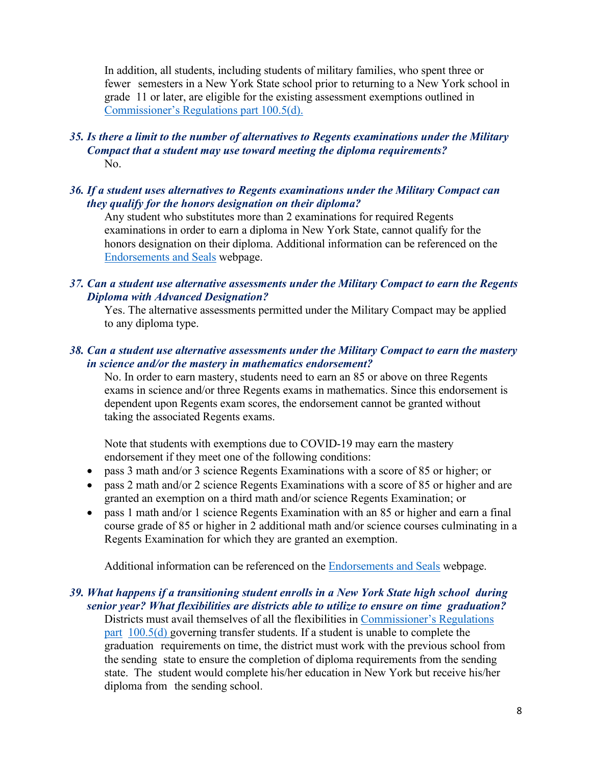In addition, all students, including students of military families, who spent three or fewer semesters in a New York State school prior to returning to a New York school in grade 11 or later, are eligible for the existing assessment exemptions outlined in [Commissioner's Regulations part 100.5\(d\).](http://www.nysed.gov/curriculum-instruction/1005-diploma-requirements#TransferCredit)

### *35. Is there a limit to the number of alternatives to Regents examinations under the Military Compact that a student may use toward meeting the diploma requirements?* No.

#### *36. If a student uses alternatives to Regents examinations under the Military Compact can they qualify for the honors designation on their diploma?*

Any student who substitutes more than 2 examinations for required Regents examinations in order to earn a diploma in New York State, cannot qualify for the honors designation on their diploma. Additional information can be referenced on the [Endorsements and Seals](http://www.nysed.gov/curriculum-instruction/endorsements-and-seals) webpage.

### *37. Can a student use alternative assessments under the Military Compact to earn the Regents Diploma with Advanced Designation?*

Yes. The alternative assessments permitted under the Military Compact may be applied to any diploma type.

### *38. Can a student use alternative assessments under the Military Compact to earn the mastery in science and/or the mastery in mathematics endorsement?*

No. In order to earn mastery, students need to earn an 85 or above on three Regents exams in science and/or three Regents exams in mathematics. Since this endorsement is dependent upon Regents exam scores, the endorsement cannot be granted without taking the associated Regents exams.

Note that students with exemptions due to COVID-19 may earn the mastery endorsement if they meet one of the following conditions:

- pass 3 math and/or 3 science Regents Examinations with a score of 85 or higher; or
- pass 2 math and/or 2 science Regents Examinations with a score of 85 or higher and are granted an exemption on a third math and/or science Regents Examination; or
- pass 1 math and/or 1 science Regents Examination with an 85 or higher and earn a final course grade of 85 or higher in 2 additional math and/or science courses culminating in a Regents Examination for which they are granted an exemption.

Additional information can be referenced on the [Endorsements and Seals](http://www.nysed.gov/curriculum-instruction/endorsements-and-seals) webpage.

## *39. What happens if a transitioning student enrolls in a New York State high school during senior year? What flexibilities are districts able to utilize to ensure on time graduation?*

Districts must avail themselves of all the flexibilities in [Commissioner's Regulations](http://www.nysed.gov/curriculum-instruction/1005-diploma-requirements#TransferCredit)  [part](http://www.nysed.gov/curriculum-instruction/1005-diploma-requirements#TransferCredit) [100.5\(d\)](http://www.nysed.gov/curriculum-instruction/1005-diploma-requirements#TransferCredit) governing transfer students. If a student is unable to complete the graduation requirements on time, the district must work with the previous school from the sending state to ensure the completion of diploma requirements from the sending state. The student would complete his/her education in New York but receive his/her diploma from the sending school.